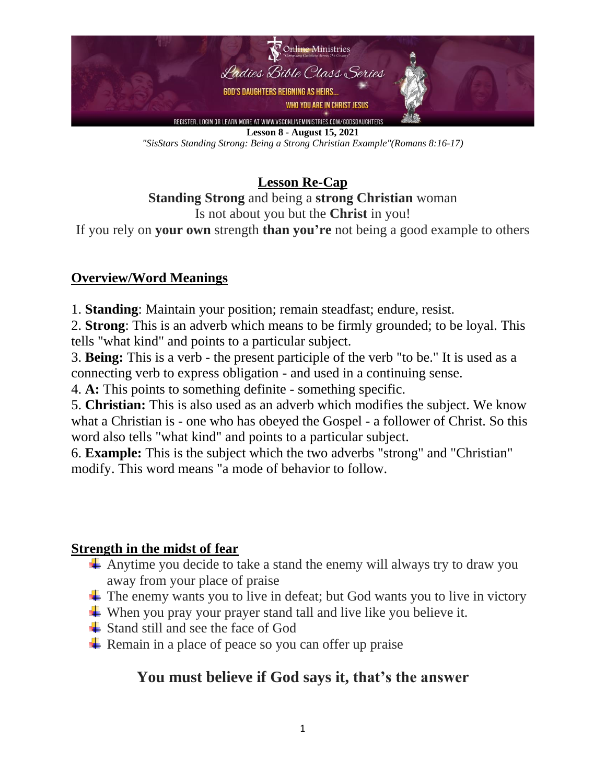

**Lesson 8 - August 15, 2021** *"SisStars Standing Strong: Being a Strong Christian Example"(Romans 8:16-17)*

**Lesson Re-Cap Standing Strong** and being a **strong Christian** woman Is not about you but the **Christ** in you!

If you rely on **your own** strength **than you're** not being a good example to others

### **Overview/Word Meanings**

1. **Standing**: Maintain your position; remain steadfast; endure, resist.

2. **Strong**: This is an adverb which means to be firmly grounded; to be loyal. This tells "what kind" and points to a particular subject.

3. **Being:** This is a verb - the present participle of the verb "to be." It is used as a connecting verb to express obligation - and used in a continuing sense.

4. **A:** This points to something definite - something specific.

5. **Christian:** This is also used as an adverb which modifies the subject. We know what a Christian is - one who has obeyed the Gospel - a follower of Christ. So this word also tells "what kind" and points to a particular subject.

6. **Example:** This is the subject which the two adverbs "strong" and "Christian" modify. This word means "a mode of behavior to follow.

### **Strength in the midst of fear**

- Anytime you decide to take a stand the enemy will always try to draw you away from your place of praise
- $\overline{\mathbf{I}}$  The enemy wants you to live in defeat; but God wants you to live in victory
- $\overline{\mathbf{u}}$  When you pray your prayer stand tall and live like you believe it.
- $\overline{\phantom{a}}$  Stand still and see the face of God
- $\overline{\mathbf{R}}$  Remain in a place of peace so you can offer up praise

# **You must believe if God says it, that's the answer**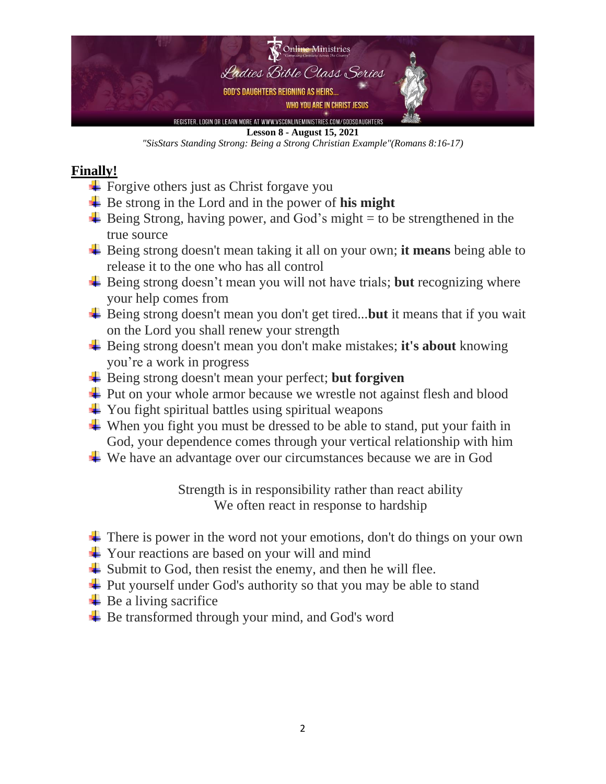

#### **Lesson 8 - August 15, 2021**

*"SisStars Standing Strong: Being a Strong Christian Example"(Romans 8:16-17)*

### **Finally!**

- $\overline{\phantom{a}}$  Forgive others just as Christ for gave you
- Be strong in the Lord and in the power of **his might**
- $\overline{\text{H}}$  Being Strong, having power, and God's might = to be strengthened in the true source
- Being strong doesn't mean taking it all on your own; **it means** being able to release it to the one who has all control
- Being strong doesn't mean you will not have trials; **but** recognizing where your help comes from
- **Example 5 Example 3** Being strong doesn't mean you don't get tired...**but** it means that if you wait on the Lord you shall renew your strength
- Being strong doesn't mean you don't make mistakes; **it's about** knowing you're a work in progress
- $\frac{1}{\sqrt{2}}$  Being strong doesn't mean your perfect; **but forgiven**
- $\overline{\phantom{a}}$  Put on your whole armor because we wrestle not against flesh and blood
- $\overline{\phantom{a}}$  You fight spiritual battles using spiritual weapons
- $\overline{\text{L}}$  When you fight you must be dressed to be able to stand, put your faith in God, your dependence comes through your vertical relationship with him
- We have an advantage over our circumstances because we are in God

Strength is in responsibility rather than react ability We often react in response to hardship

- $\pm$  There is power in the word not your emotions, don't do things on your own
- $\frac{1}{\sqrt{2}}$  Your reactions are based on your will and mind
- $\overline{\phantom{a}}$  Submit to God, then resist the enemy, and then he will flee.
- $\overline{\phantom{a}}$  Put yourself under God's authority so that you may be able to stand
- $\overline{\phantom{a}}$  Be a living sacrifice
- $\overline{\phantom{a}}$  Be transformed through your mind, and God's word